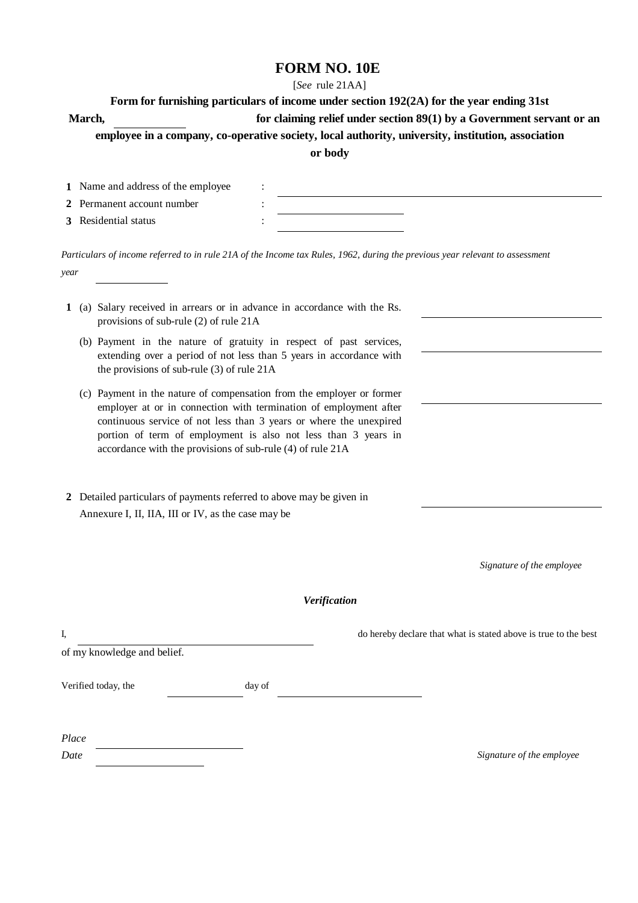# **FORM NO. 10E**

### [*See* rule 21AA]

| Form for furnishing particulars of income under section 192(2A) for the year ending 31st           |                                                                         |  |  |  |  |  |
|----------------------------------------------------------------------------------------------------|-------------------------------------------------------------------------|--|--|--|--|--|
| <b>March</b> ,                                                                                     | for claiming relief under section $89(1)$ by a Government servant or an |  |  |  |  |  |
| employee in a company, co-operative society, local authority, university, institution, association |                                                                         |  |  |  |  |  |
| or body                                                                                            |                                                                         |  |  |  |  |  |

| 1 Name and address of the employee |  |
|------------------------------------|--|
| 2 Permanent account number         |  |
| 3 Residential status               |  |

*Particulars of income referred to in rule 21A of the Income tax Rules, 1962, during the previous year relevant to assessment year*

- **1** (a) Salary received in arrears or in advance in accordance with the Rs. provisions of sub-rule (2) of rule 21A
	- (b) Payment in the nature of gratuity in respect of past services, extending over a period of not less than 5 years in accordance with the provisions of sub-rule (3) of rule 21A
	- (c) Payment in the nature of compensation from the employer or former employer at or in connection with termination of employment after continuous service of not less than 3 years or where the unexpired portion of term of employment is also not less than 3 years in accordance with the provisions of sub-rule (4) of rule 21A
- **2** Detailed particulars of payments referred to above may be given in Annexure I, II, IIA, III or IV, as the case may be

 *Signature of the employee* 

## *Verification*

I, do hereby declare that what is stated above is true to the best

of my knowledge and belief.

Verified today, the day of

| Place |  |  |  |
|-------|--|--|--|
| Date  |  |  |  |

*Date Signature of the employee*